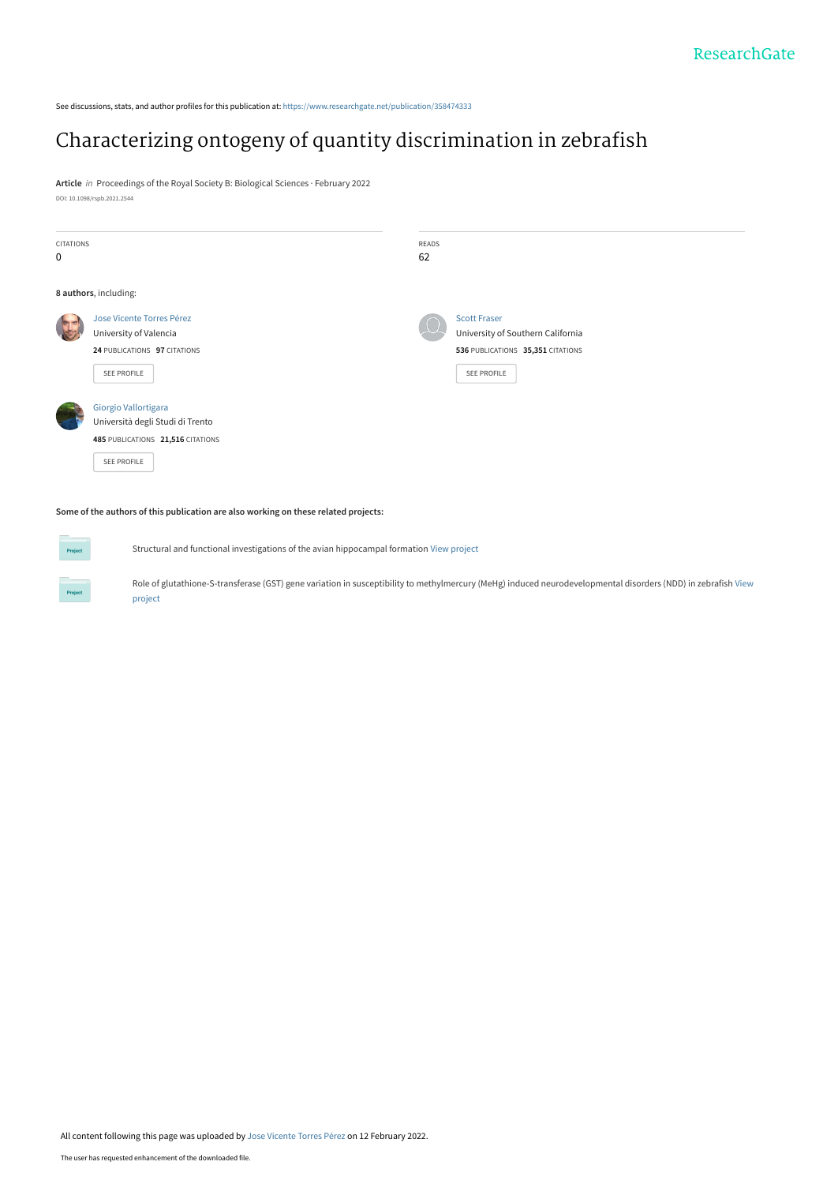See discussions, stats, and author profiles for this publication at: [https://www.researchgate.net/publication/358474333](https://www.researchgate.net/publication/358474333_Characterizing_ontogeny_of_quantity_discrimination_in_zebrafish?enrichId=rgreq-e9875ffffdec18c38c32f1dc73906a64-XXX&enrichSource=Y292ZXJQYWdlOzM1ODQ3NDMzMztBUzoxMTIyNjczOTI5MjY5MjU1QDE2NDQ2Nzc3MzE2MDk%3D&el=1_x_2&_esc=publicationCoverPdf)

## [Characterizing ontogeny of quantity discrimination in zebrafish](https://www.researchgate.net/publication/358474333_Characterizing_ontogeny_of_quantity_discrimination_in_zebrafish?enrichId=rgreq-e9875ffffdec18c38c32f1dc73906a64-XXX&enrichSource=Y292ZXJQYWdlOzM1ODQ3NDMzMztBUzoxMTIyNjczOTI5MjY5MjU1QDE2NDQ2Nzc3MzE2MDk%3D&el=1_x_3&_esc=publicationCoverPdf)

**Article** in Proceedings of the Royal Society B: Biological Sciences · February 2022 DOI: 10.1098/rspb.2021.2544

|                                   | READS       |                                   |
|-----------------------------------|-------------|-----------------------------------|
|                                   | 62          |                                   |
|                                   |             |                                   |
| 8 authors, including:             |             |                                   |
| Jose Vicente Torres Pérez         |             | <b>Scott Fraser</b>               |
| University of Valencia            |             | University of Southern California |
| 24 PUBLICATIONS 97 CITATIONS      |             | 536 PUBLICATIONS 35,351 CITATIONS |
|                                   |             | <b>SEE PROFILE</b>                |
|                                   |             |                                   |
| Giorgio Vallortigara              |             |                                   |
| Università degli Studi di Trento  |             |                                   |
| 485 PUBLICATIONS 21,516 CITATIONS |             |                                   |
| SEE PROFILE                       |             |                                   |
|                                   |             |                                   |
|                                   | SEE PROFILE |                                   |

**Some of the authors of this publication are also working on these related projects:**

**Project** 

**Project** 

Structural and functional investigations of the avian hippocampal formation [View project](https://www.researchgate.net/project/Structural-and-functional-investigations-of-the-avian-hippocampal-formation?enrichId=rgreq-e9875ffffdec18c38c32f1dc73906a64-XXX&enrichSource=Y292ZXJQYWdlOzM1ODQ3NDMzMztBUzoxMTIyNjczOTI5MjY5MjU1QDE2NDQ2Nzc3MzE2MDk%3D&el=1_x_9&_esc=publicationCoverPdf)

[Role of glutathione-S-transferase \(GST\) gene variation in susceptibility to methylmercury \(MeHg\) induced neurodevelopmental disorders \(NDD\) in zebrafish](https://www.researchgate.net/project/Role-of-glutathione-S-transferase-GST-gene-variation-in-susceptibility-to-methylmercury-MeHg-induced-neurodevelopmental-disorders-NDD-in-zebrafish?enrichId=rgreq-e9875ffffdec18c38c32f1dc73906a64-XXX&enrichSource=Y292ZXJQYWdlOzM1ODQ3NDMzMztBUzoxMTIyNjczOTI5MjY5MjU1QDE2NDQ2Nzc3MzE2MDk%3D&el=1_x_9&_esc=publicationCoverPdf) View project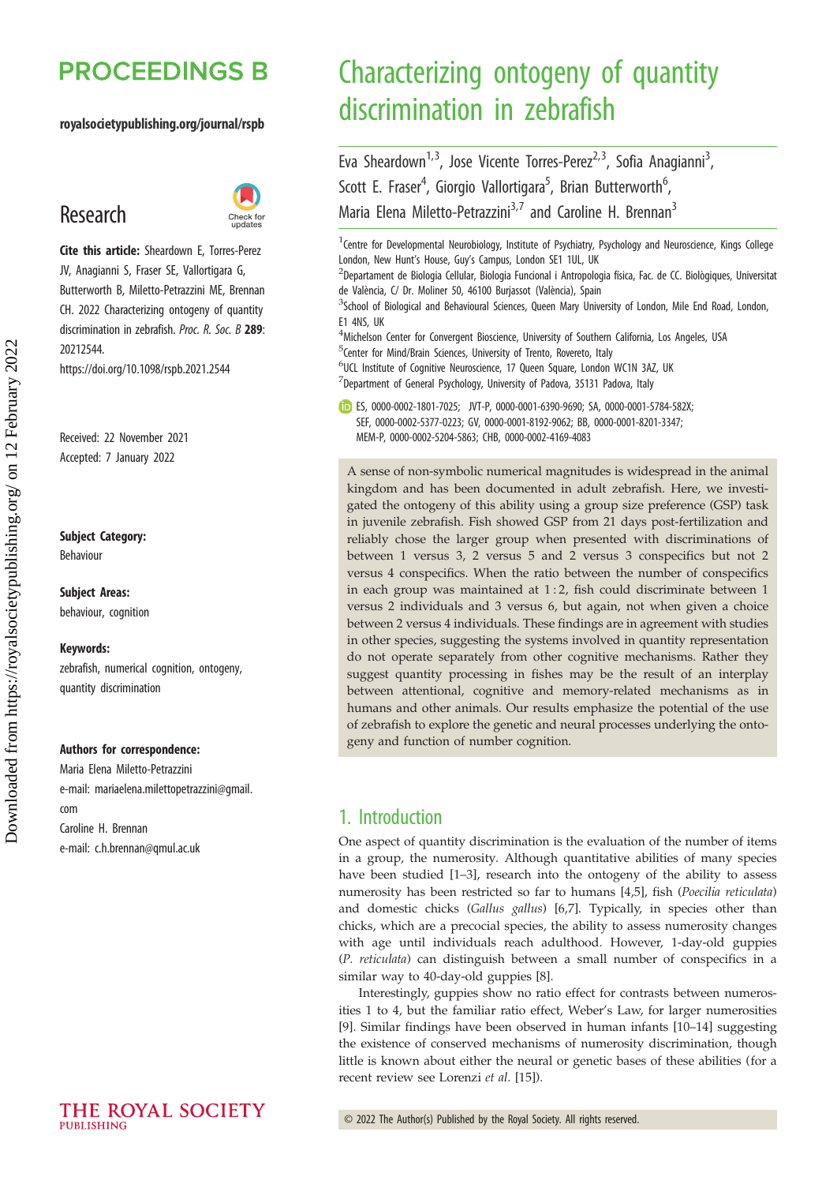# **PROCEEDINGS B**

#### royalsocietypublishing.org/journal/rspb

## Research



Cite this article: Sheardown E, Torres-Perez JV, Anagianni S, Fraser SE, Vallortigara G, Butterworth B, Miletto-Petrazzini ME, Brennan CH. 2022 Characterizing ontogeny of quantity discrimination in zebrafish. Proc. R. Soc. B 289: 20212544. https://doi.org/10.1098/rspb.2021.2544

Received: 22 November 2021 Accepted: 7 January 2022

#### Subject Category:

Behaviour

#### Subject Areas: behaviour, cognition

Keywords:

zebrafish, numerical cognition, ontogeny, quantity discrimination

#### Authors for correspondence:

Maria Elena Miletto-Petrazzini e-mail: [mariaelena.milettopetrazzini@gmail.](mailto:mariaelena.milettopetrazzini@gmail.com) [com](mailto:mariaelena.milettopetrazzini@gmail.com) Caroline H. Brennan e-mail: [c.h.brennan@qmul.ac.uk](mailto:c.h.brennan@qmul.ac.uk)

# Characterizing ontogeny of quantity discrimination in zebrafish

Eva Sheardown<sup>1,3</sup>, Jose Vicente Torres-Perez<sup>2,3</sup>, Sofia Anagianni<sup>3</sup>, , Scott E. Fraser<sup>4</sup>, Giorgio Vallortigara<sup>5</sup>, Brian Butterworth<sup>6</sup> , Maria Elena Miletto-Petrazzini<sup>3,7</sup> and Caroline H. Brennan<sup>3</sup>

<sup>1</sup> Centre for Developmental Neurobiology, Institute of Psychiatry, Psychology and Neuroscience, Kings College London, New Hunt's House, Guy's Campus, London SE1 1UL, UK

<sup>2</sup>Departament de Biologia Cellular, Biologia Funcional i Antropologia física, Fac. de CC. Biològiques, Universitat de València, C/ Dr. Moliner 50, 46100 Burjassot (València), Spain

<sup>3</sup>School of Biological and Behavioural Sciences, Queen Mary University of London, Mile End Road, London, F1 4NS, IJK

<sup>4</sup> Michelson Center for Convergent Bioscience, University of Southern California, Los Angeles, USA <sup>5</sup> Center for Mind/Brain Sciences, University of Trento, Rovereto, Italy <sup>6</sup>UCL Institute of Cognitive Neuroscience, 17 Queen Square, London WC1N 3AZ, UK

 $^{7}$ Department of General Psychology, University of Padova, 35131 Padova, Italy

ES, [0000-0002-1801-7025;](http://orcid.org/0000-0002-1801-7025) JVT-P, [0000-0001-6390-9690](http://orcid.org/0000-0001-6390-9690); SA, [0000-0001-5784-582X;](http://orcid.org/0000-0001-5784-582X) SEF, [0000-0002-5377-0223](http://orcid.org/0000-0002-5377-0223); GV, [0000-0001-8192-9062](http://orcid.org/0000-0001-8192-9062); BB, [0000-0001-8201-3347](http://orcid.org/0000-0001-8201-3347); MEM-P, [0000-0002-5204-5863;](http://orcid.org/0000-0002-5204-5863) CHB, [0000-0002-4169-4083](http://orcid.org/0000-0002-4169-4083)

A sense of non-symbolic numerical magnitudes is widespread in the animal kingdom and has been documented in adult zebrafish. Here, we investigated the ontogeny of this ability using a group size preference (GSP) task in juvenile zebrafish. Fish showed GSP from 21 days post-fertilization and reliably chose the larger group when presented with discriminations of between 1 versus 3, 2 versus 5 and 2 versus 3 conspecifics but not 2 versus 4 conspecifics. When the ratio between the number of conspecifics in each group was maintained at 1 : 2, fish could discriminate between 1 versus 2 individuals and 3 versus 6, but again, not when given a choice between 2 versus 4 individuals. These findings are in agreement with studies in other species, suggesting the systems involved in quantity representation do not operate separately from other cognitive mechanisms. Rather they suggest quantity processing in fishes may be the result of an interplay between attentional, cognitive and memory-related mechanisms as in humans and other animals. Our results emphasize the potential of the use of zebrafish to explore the genetic and neural processes underlying the ontogeny and function of number cognition.

## 1. Introduction

One aspect of quantity discrimination is the evaluation of the number of items in a group, the numerosity. Although quantitative abilities of many species have been studied [[1](#page-6-0)–[3](#page-6-0)], research into the ontogeny of the ability to assess numerosity has been restricted so far to humans [\[4,5\]](#page-6-0), fish (Poecilia reticulata) and domestic chicks (Gallus gallus) [\[6,7\]](#page-6-0). Typically, in species other than chicks, which are a precocial species, the ability to assess numerosity changes with age until individuals reach adulthood. However, 1-day-old guppies (P. reticulata) can distinguish between a small number of conspecifics in a similar way to 40-day-old guppies [\[8\]](#page-6-0).

Interestingly, guppies show no ratio effect for contrasts between numerosities 1 to 4, but the familiar ratio effect, Weber's Law, for larger numerosities [[9](#page-6-0)]. Similar findings have been observed in human infants [[10](#page-6-0)–[14](#page-6-0)] suggesting the existence of conserved mechanisms of numerosity discrimination, though little is known about either the neural or genetic bases of these abilities (for a recent review see Lorenzi et al. [\[15](#page-6-0)]).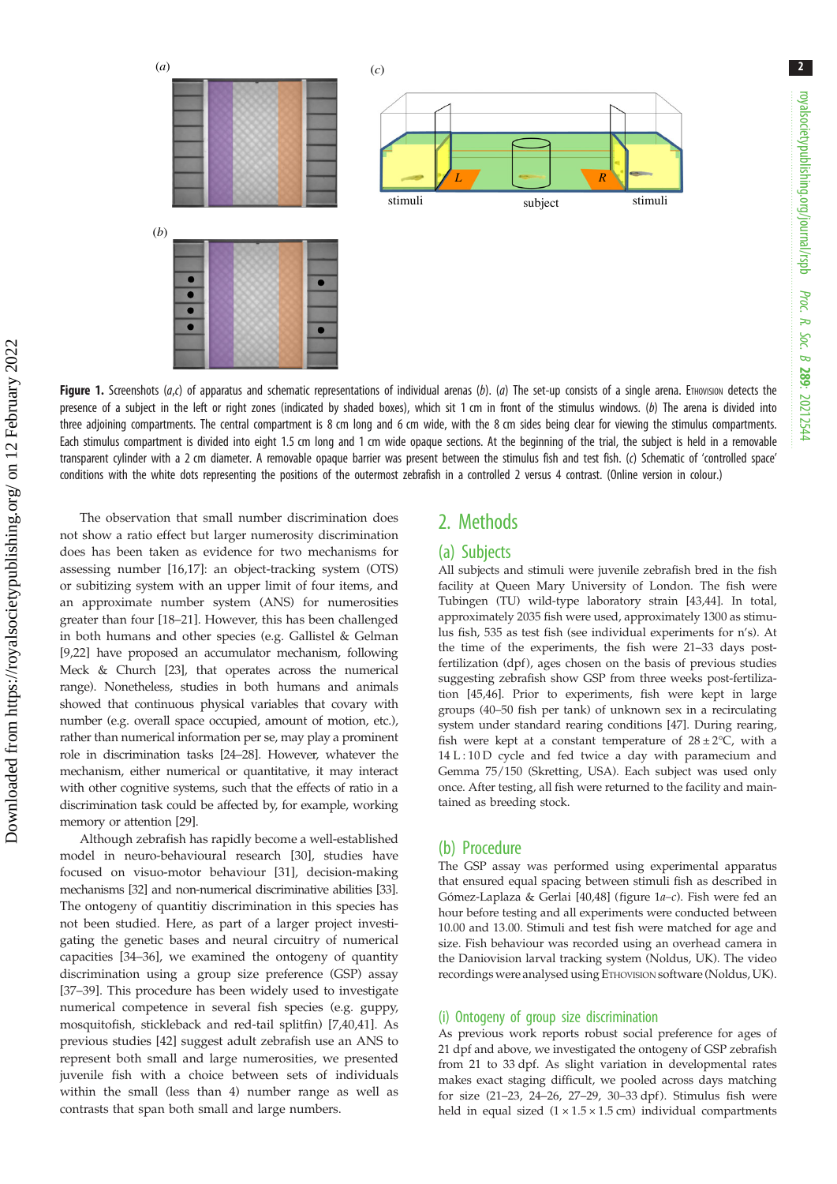<span id="page-2-0"></span>

Figure 1. Screenshots ( $a,c$ ) of apparatus and schematic representations of individual arenas (b). (a) The set-up consists of a single arena. ETHOVISION detects the presence of a subject in the left or right zones (indicated by shaded boxes), which sit 1 cm in front of the stimulus windows. (b) The arena is divided into three adjoining compartments. The central compartment is 8 cm long and 6 cm wide, with the 8 cm sides being clear for viewing the stimulus compartments. Each stimulus compartment is divided into eight 1.5 cm long and 1 cm wide opaque sections. At the beginning of the trial, the subject is held in a removable transparent cylinder with a 2 cm diameter. A removable opaque barrier was present between the stimulus fish and test fish. (c) Schematic of 'controlled space' conditions with the white dots representing the positions of the outermost zebrafish in a controlled 2 versus 4 contrast. (Online version in colour.)

The observation that small number discrimination does not show a ratio effect but larger numerosity discrimination does has been taken as evidence for two mechanisms for assessing number [\[16,17](#page-6-0)]: an object-tracking system (OTS) or subitizing system with an upper limit of four items, and an approximate number system (ANS) for numerosities greater than four [\[18](#page-6-0)–[21\]](#page-6-0). However, this has been challenged in both humans and other species (e.g. Gallistel & Gelman [\[9,22](#page-6-0)] have proposed an accumulator mechanism, following Meck & Church [\[23\]](#page-7-0), that operates across the numerical range). Nonetheless, studies in both humans and animals showed that continuous physical variables that covary with number (e.g. overall space occupied, amount of motion, etc.), rather than numerical information per se, may play a prominent role in discrimination tasks [\[24](#page-7-0)–[28\]](#page-7-0). However, whatever the mechanism, either numerical or quantitative, it may interact with other cognitive systems, such that the effects of ratio in a discrimination task could be affected by, for example, working memory or attention [[29](#page-7-0)].

Although zebrafish has rapidly become a well-established model in neuro-behavioural research [[30\]](#page-7-0), studies have focused on visuo-motor behaviour [\[31](#page-7-0)], decision-making mechanisms [\[32](#page-7-0)] and non-numerical discriminative abilities [\[33\]](#page-7-0). The ontogeny of quantitiy discrimination in this species has not been studied. Here, as part of a larger project investigating the genetic bases and neural circuitry of numerical capacities [[34](#page-7-0)–[36](#page-7-0)], we examined the ontogeny of quantity discrimination using a group size preference (GSP) assay [\[37](#page-7-0)–[39\]](#page-7-0). This procedure has been widely used to investigate numerical competence in several fish species (e.g. guppy, mosquitofish, stickleback and red-tail splitfin) [[7](#page-6-0)[,40,41\]](#page-7-0). As previous studies [[42\]](#page-7-0) suggest adult zebrafish use an ANS to represent both small and large numerosities, we presented juvenile fish with a choice between sets of individuals within the small (less than 4) number range as well as contrasts that span both small and large numbers.

## 2. Methods

#### (a) Subjects

All subjects and stimuli were juvenile zebrafish bred in the fish facility at Queen Mary University of London. The fish were Tubingen (TU) wild-type laboratory strain [[43,44\]](#page-7-0). In total, approximately 2035 fish were used, approximately 1300 as stimulus fish, 535 as test fish (see individual experiments for n's). At the time of the experiments, the fish were 21–33 days postfertilization (dpf), ages chosen on the basis of previous studies suggesting zebrafish show GSP from three weeks post-fertilization [[45,46](#page-7-0)]. Prior to experiments, fish were kept in large groups (40–50 fish per tank) of unknown sex in a recirculating system under standard rearing conditions [\[47\]](#page-7-0). During rearing, fish were kept at a constant temperature of  $28 \pm 2^{\circ}C$ , with a 14 L:10 D cycle and fed twice a day with paramecium and Gemma 75/150 (Skretting, USA). Each subject was used only once. After testing, all fish were returned to the facility and maintained as breeding stock.

#### (b) Procedure

The GSP assay was performed using experimental apparatus that ensured equal spacing between stimuli fish as described in Gómez-Laplaza & Gerlai [\[40,48\]](#page-7-0) (figure 1a–c). Fish were fed an hour before testing and all experiments were conducted between 10.00 and 13.00. Stimuli and test fish were matched for age and size. Fish behaviour was recorded using an overhead camera in the Daniovision larval tracking system (Noldus, UK). The video recordings were analysed using ETHOVISION software (Noldus, UK).

#### (i) Ontogeny of group size discrimination

As previous work reports robust social preference for ages of 21 dpf and above, we investigated the ontogeny of GSP zebrafish from 21 to 33 dpf. As slight variation in developmental rates makes exact staging difficult, we pooled across days matching for size (21–23, 24–26, 27–29, 30–33 dpf ). Stimulus fish were held in equal sized  $(1 \times 1.5 \times 1.5 \text{ cm})$  individual compartments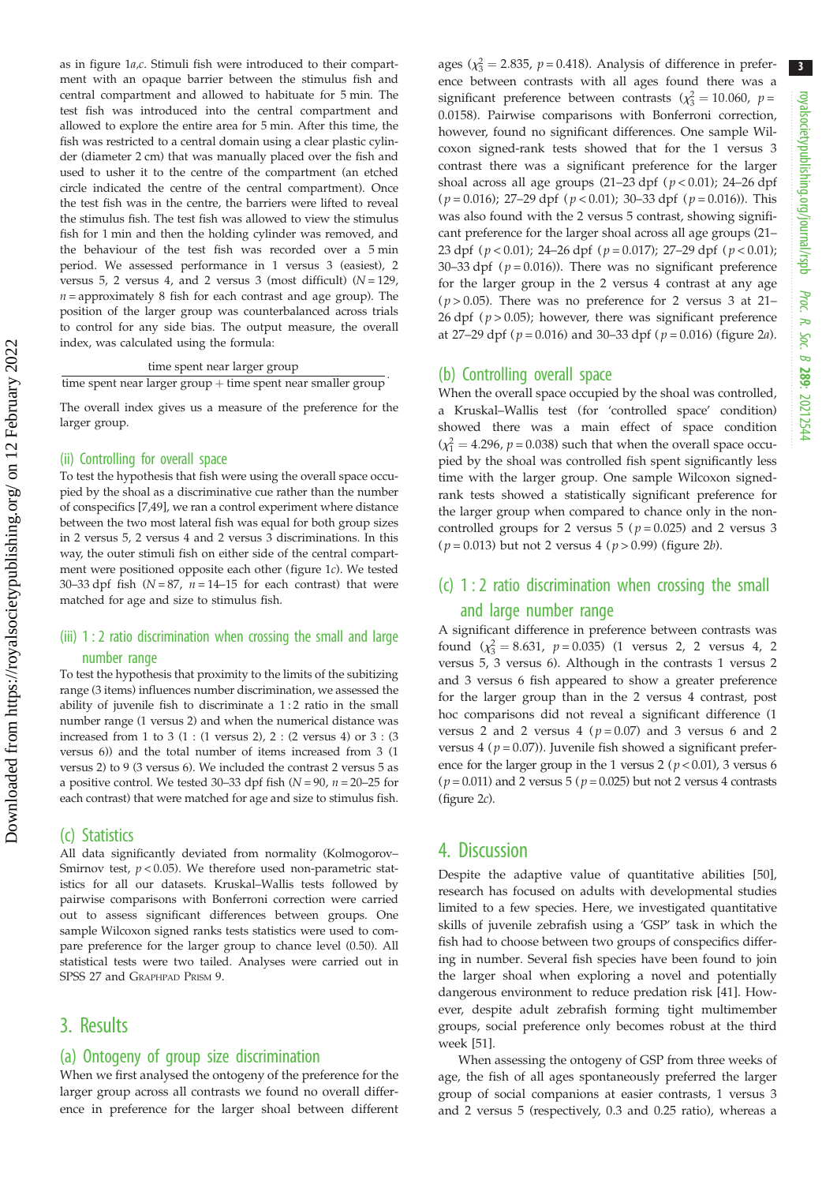as in [figure 1](#page-2-0)a,c. Stimuli fish were introduced to their compartment with an opaque barrier between the stimulus fish and central compartment and allowed to habituate for 5 min. The test fish was introduced into the central compartment and allowed to explore the entire area for 5 min. After this time, the fish was restricted to a central domain using a clear plastic cylinder (diameter 2 cm) that was manually placed over the fish and used to usher it to the centre of the compartment (an etched circle indicated the centre of the central compartment). Once the test fish was in the centre, the barriers were lifted to reveal the stimulus fish. The test fish was allowed to view the stimulus fish for 1 min and then the holding cylinder was removed, and the behaviour of the test fish was recorded over a 5 min period. We assessed performance in 1 versus 3 (easiest), 2 versus 5, 2 versus 4, and 2 versus 3 (most difficult)  $(N = 129)$ ,  $n =$  approximately 8 fish for each contrast and age group). The position of the larger group was counterbalanced across trials to control for any side bias. The output measure, the overall index, was calculated using the formula:

time spent near larger group

time spent near larger group  $+$  time spent near smaller group

The overall index gives us a measure of the preference for the larger group.

#### (ii) Controlling for overall space

To test the hypothesis that fish were using the overall space occupied by the shoal as a discriminative cue rather than the number of conspecifics [[7](#page-6-0)[,49\]](#page-7-0), we ran a control experiment where distance between the two most lateral fish was equal for both group sizes in 2 versus 5, 2 versus 4 and 2 versus 3 discriminations. In this way, the outer stimuli fish on either side of the central compartment were positioned opposite each other [\(figure 1](#page-2-0)c). We tested 30–33 dpf fish  $(N = 87, n = 14$ –15 for each contrast) that were matched for age and size to stimulus fish.

#### (iii) 1 : 2 ratio discrimination when crossing the small and large number range

To test the hypothesis that proximity to the limits of the subitizing range (3 items) influences number discrimination, we assessed the ability of juvenile fish to discriminate a 1 : 2 ratio in the small number range (1 versus 2) and when the numerical distance was increased from 1 to 3 (1 : (1 versus 2), 2 : (2 versus 4) or 3 : (3 versus 6)) and the total number of items increased from 3 (1 versus 2) to 9 (3 versus 6). We included the contrast 2 versus 5 as a positive control. We tested 30–33 dpf fish ( $N = 90$ ,  $n = 20-25$  for each contrast) that were matched for age and size to stimulus fish.

#### (c) Statistics

All data significantly deviated from normality (Kolmogorov– Smirnov test,  $p < 0.05$ ). We therefore used non-parametric statistics for all our datasets. Kruskal–Wallis tests followed by pairwise comparisons with Bonferroni correction were carried out to assess significant differences between groups. One sample Wilcoxon signed ranks tests statistics were used to compare preference for the larger group to chance level (0.50). All statistical tests were two tailed. Analyses were carried out in SPSS 27 and GRAPHPAD PRISM 9.

#### 3. Results

#### (a) Ontogeny of group size discrimination

When we first analysed the ontogeny of the preference for the larger group across all contrasts we found no overall difference in preference for the larger shoal between different

ages  $(\chi_3^2 = 2.835, p = 0.418)$ . Analysis of difference in prefer-<br>ance between contracts with all ages found there we a ence between contrasts with all ages found there was a significant preference between contrasts  $(\chi_3^2 = 10.060, p =$ 0.0158). Pairwise comparisons with Bonferroni correction, however, found no significant differences. One sample Wilcoxon signed-rank tests showed that for the 1 versus 3 contrast there was a significant preference for the larger shoal across all age groups (21–23 dpf ( $p < 0.01$ ); 24–26 dpf ( $p = 0.016$ ); 27–29 dpf ( $p < 0.01$ ); 30–33 dpf ( $p = 0.016$ )). This was also found with the 2 versus 5 contrast, showing significant preference for the larger shoal across all age groups (21– 23 dpf ( $p < 0.01$ ); 24–26 dpf ( $p = 0.017$ ); 27–29 dpf ( $p < 0.01$ ); 30–33 dpf ( $p = 0.016$ )). There was no significant preference for the larger group in the 2 versus 4 contrast at any age ( $p > 0.05$ ). There was no preference for 2 versus 3 at 21– 26 dpf ( $p > 0.05$ ); however, there was significant preference at 27–29 dpf ( $p = 0.016$ ) and 30–33 dpf ( $p = 0.016$ ) ([figure 2](#page-4-0)*a*).

#### (b) Controlling overall space

When the overall space occupied by the shoal was controlled, a Kruskal–Wallis test (for 'controlled space' condition) showed there was a main effect of space condition  $(\chi_1^2 = 4.296, p = 0.038)$  such that when the overall space occupied by the shoal was controlled fish spent significantly less time with the larger group. One sample Wilcoxon signedrank tests showed a statistically significant preference for the larger group when compared to chance only in the noncontrolled groups for 2 versus  $5$  ( $p = 0.025$ ) and 2 versus 3 ( $p = 0.013$ ) but not 2 versus 4 ( $p > 0.99$ ) ([figure 2](#page-4-0)*b*).

## (c) 1 : 2 ratio discrimination when crossing the small and large number range

A significant difference in preference between contrasts was found  $(\chi_3^2 = 8.631, p = 0.035)$  (1 versus 2, 2 versus 4, 2 versus 5, 3 versus 6). Although in the contrasts 1 versus 2 and 3 versus 6 fish appeared to show a greater preference for the larger group than in the 2 versus 4 contrast, post hoc comparisons did not reveal a significant difference (1 versus 2 and 2 versus 4 ( $p = 0.07$ ) and 3 versus 6 and 2 versus 4 ( $p = 0.07$ )). Juvenile fish showed a significant preference for the larger group in the 1 versus  $2 (p < 0.01)$ , 3 versus 6  $(p = 0.011)$  and 2 versus 5  $(p = 0.025)$  but not 2 versus 4 contrasts (figure  $2c$ ).

#### 4. Discussion

Despite the adaptive value of quantitative abilities [[50\]](#page-7-0), research has focused on adults with developmental studies limited to a few species. Here, we investigated quantitative skills of juvenile zebrafish using a 'GSP' task in which the fish had to choose between two groups of conspecifics differing in number. Several fish species have been found to join the larger shoal when exploring a novel and potentially dangerous environment to reduce predation risk [[41\]](#page-7-0). However, despite adult zebrafish forming tight multimember groups, social preference only becomes robust at the third week [\[51](#page-7-0)].

When assessing the ontogeny of GSP from three weeks of age, the fish of all ages spontaneously preferred the larger group of social companions at easier contrasts, 1 versus 3 and 2 versus 5 (respectively, 0.3 and 0.25 ratio), whereas a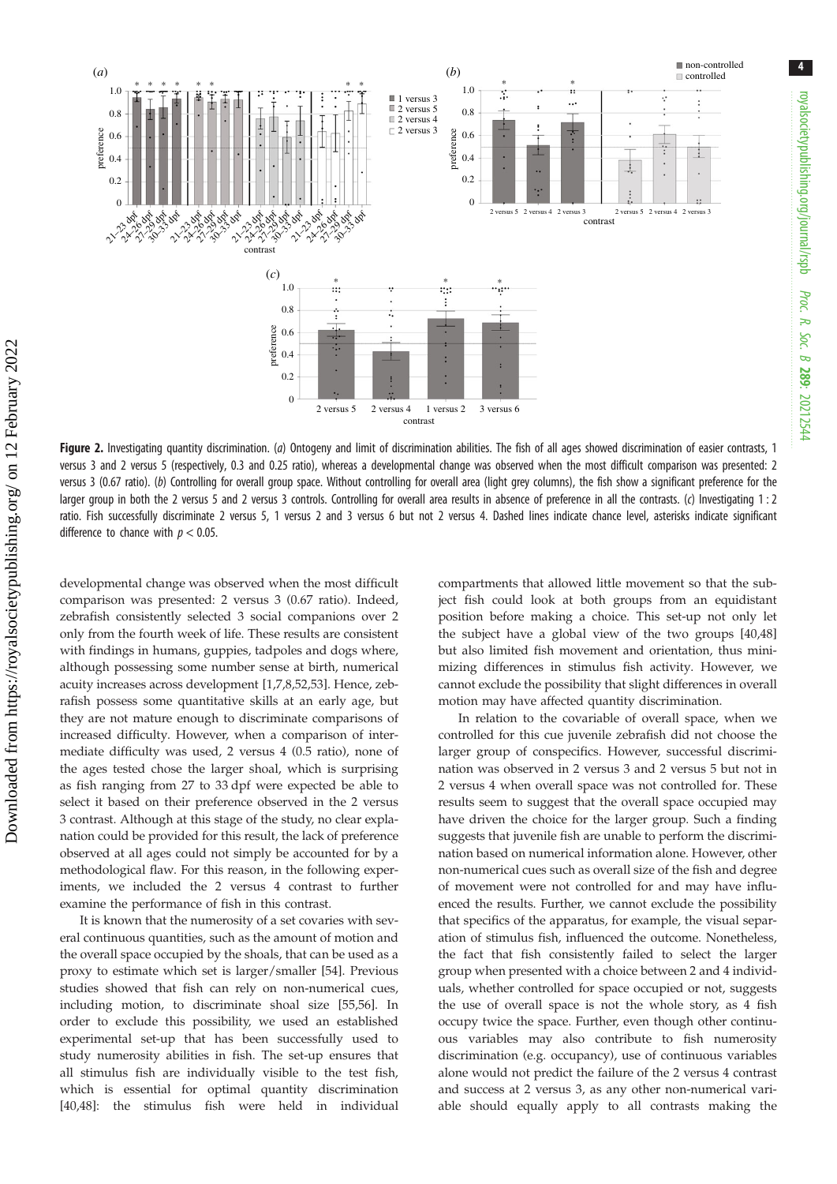<span id="page-4-0"></span>

Figure 2. Investigating quantity discrimination. (a) Ontogeny and limit of discrimination abilities. The fish of all ages showed discrimination of easier contrasts, 1 versus 3 and 2 versus 5 (respectively, 0.3 and 0.25 ratio), whereas a developmental change was observed when the most difficult comparison was presented: 2 versus 3 (0.67 ratio). (b) Controlling for overall group space. Without controlling for overall area (light grey columns), the fish show a significant preference for the larger group in both the 2 versus 5 and 2 versus 3 controls. Controlling for overall area results in absence of preference in all the contrasts. (c) Investigating 1 : 2 ratio. Fish successfully discriminate 2 versus 5, 1 versus 2 and 3 versus 6 but not 2 versus 4. Dashed lines indicate chance level, asterisks indicate significant difference to chance with  $p < 0.05$ .

developmental change was observed when the most difficult comparison was presented: 2 versus 3 (0.67 ratio). Indeed, zebrafish consistently selected 3 social companions over 2 only from the fourth week of life. These results are consistent with findings in humans, guppies, tadpoles and dogs where, although possessing some number sense at birth, numerical acuity increases across development [[1,7,8,](#page-6-0)[52,53](#page-7-0)]. Hence, zebrafish possess some quantitative skills at an early age, but they are not mature enough to discriminate comparisons of increased difficulty. However, when a comparison of intermediate difficulty was used, 2 versus 4 (0.5 ratio), none of the ages tested chose the larger shoal, which is surprising as fish ranging from 27 to 33 dpf were expected be able to select it based on their preference observed in the 2 versus 3 contrast. Although at this stage of the study, no clear explanation could be provided for this result, the lack of preference observed at all ages could not simply be accounted for by a methodological flaw. For this reason, in the following experiments, we included the 2 versus 4 contrast to further examine the performance of fish in this contrast.

It is known that the numerosity of a set covaries with several continuous quantities, such as the amount of motion and the overall space occupied by the shoals, that can be used as a proxy to estimate which set is larger/smaller [\[54](#page-7-0)]. Previous studies showed that fish can rely on non-numerical cues, including motion, to discriminate shoal size [[55,56\]](#page-7-0). In order to exclude this possibility, we used an established experimental set-up that has been successfully used to study numerosity abilities in fish. The set-up ensures that all stimulus fish are individually visible to the test fish, which is essential for optimal quantity discrimination [\[40](#page-7-0),[48\]](#page-7-0): the stimulus fish were held in individual compartments that allowed little movement so that the subject fish could look at both groups from an equidistant position before making a choice. This set-up not only let the subject have a global view of the two groups [[40,48\]](#page-7-0) but also limited fish movement and orientation, thus minimizing differences in stimulus fish activity. However, we cannot exclude the possibility that slight differences in overall motion may have affected quantity discrimination.

In relation to the covariable of overall space, when we controlled for this cue juvenile zebrafish did not choose the larger group of conspecifics. However, successful discrimination was observed in 2 versus 3 and 2 versus 5 but not in 2 versus 4 when overall space was not controlled for. These results seem to suggest that the overall space occupied may have driven the choice for the larger group. Such a finding suggests that juvenile fish are unable to perform the discrimination based on numerical information alone. However, other non-numerical cues such as overall size of the fish and degree of movement were not controlled for and may have influenced the results. Further, we cannot exclude the possibility that specifics of the apparatus, for example, the visual separation of stimulus fish, influenced the outcome. Nonetheless, the fact that fish consistently failed to select the larger group when presented with a choice between 2 and 4 individuals, whether controlled for space occupied or not, suggests the use of overall space is not the whole story, as 4 fish occupy twice the space. Further, even though other continuous variables may also contribute to fish numerosity discrimination (e.g. occupancy), use of continuous variables alone would not predict the failure of the 2 versus 4 contrast and success at 2 versus 3, as any other non-numerical variable should equally apply to all contrasts making the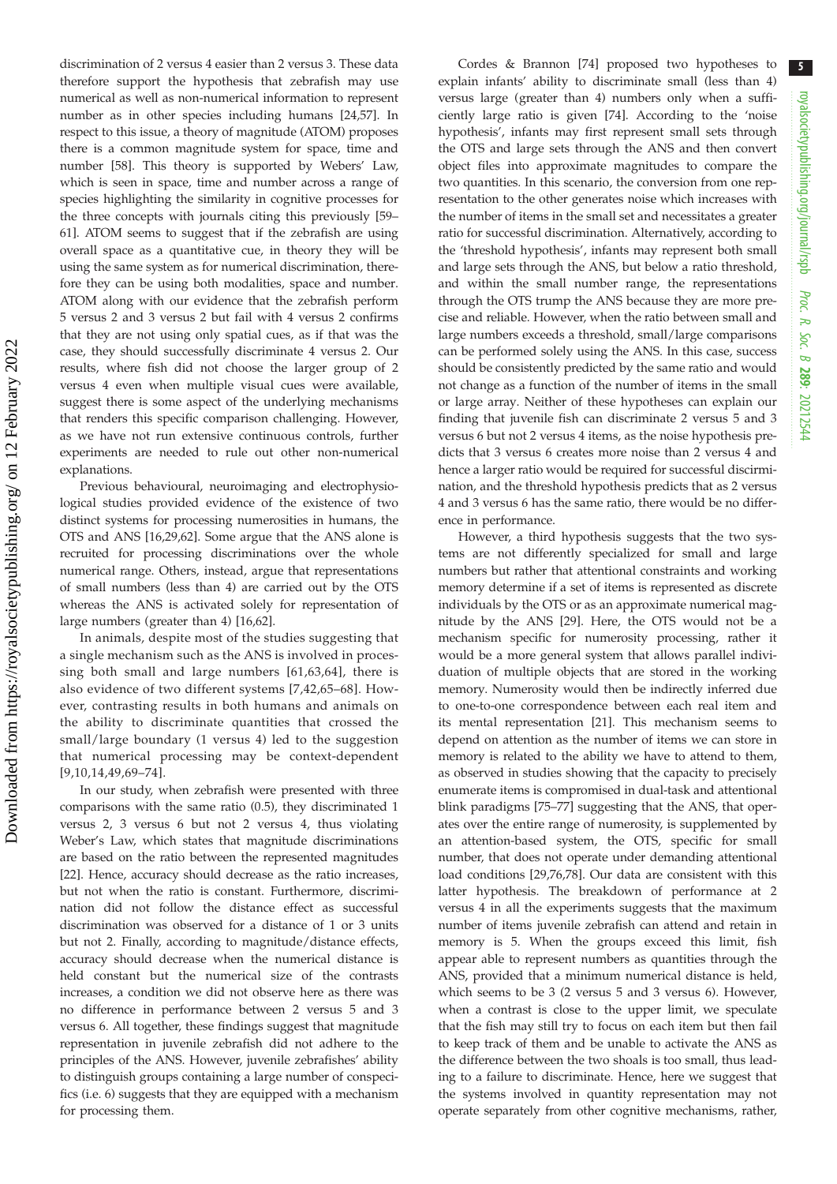discrimination of 2 versus 4 easier than 2 versus 3. These data therefore support the hypothesis that zebrafish may use numerical as well as non-numerical information to represent number as in other species including humans [[24,57](#page-7-0)]. In respect to this issue, a theory of magnitude (ATOM) proposes there is a common magnitude system for space, time and number [[58\]](#page-7-0). This theory is supported by Webers' Law, which is seen in space, time and number across a range of species highlighting the similarity in cognitive processes for the three concepts with journals citing this previously [[59](#page-7-0)– [61\]](#page-7-0). ATOM seems to suggest that if the zebrafish are using overall space as a quantitative cue, in theory they will be using the same system as for numerical discrimination, therefore they can be using both modalities, space and number. ATOM along with our evidence that the zebrafish perform 5 versus 2 and 3 versus 2 but fail with 4 versus 2 confirms that they are not using only spatial cues, as if that was the case, they should successfully discriminate 4 versus 2. Our results, where fish did not choose the larger group of 2 versus 4 even when multiple visual cues were available, suggest there is some aspect of the underlying mechanisms that renders this specific comparison challenging. However, as we have not run extensive continuous controls, further experiments are needed to rule out other non-numerical explanations.

Previous behavioural, neuroimaging and electrophysiological studies provided evidence of the existence of two distinct systems for processing numerosities in humans, the OTS and ANS [\[16](#page-6-0)[,29](#page-7-0),[62\]](#page-7-0). Some argue that the ANS alone is recruited for processing discriminations over the whole numerical range. Others, instead, argue that representations of small numbers (less than 4) are carried out by the OTS whereas the ANS is activated solely for representation of large numbers (greater than 4) [[16,](#page-6-0)[62\]](#page-7-0).

In animals, despite most of the studies suggesting that a single mechanism such as the ANS is involved in processing both small and large numbers [[61,63](#page-7-0),[64](#page-7-0)], there is also evidence of two different systems [[7](#page-6-0),[42](#page-7-0),[65](#page-7-0)–[68\]](#page-7-0). However, contrasting results in both humans and animals on the ability to discriminate quantities that crossed the small/large boundary (1 versus 4) led to the suggestion that numerical processing may be context-dependent [[9](#page-6-0),[10](#page-6-0),[14](#page-6-0),[49](#page-7-0),[69](#page-7-0)–[74\]](#page-8-0).

In our study, when zebrafish were presented with three comparisons with the same ratio (0.5), they discriminated 1 versus 2, 3 versus 6 but not 2 versus 4, thus violating Weber's Law, which states that magnitude discriminations are based on the ratio between the represented magnitudes [\[22](#page-6-0)]. Hence, accuracy should decrease as the ratio increases, but not when the ratio is constant. Furthermore, discrimination did not follow the distance effect as successful discrimination was observed for a distance of 1 or 3 units but not 2. Finally, according to magnitude/distance effects, accuracy should decrease when the numerical distance is held constant but the numerical size of the contrasts increases, a condition we did not observe here as there was no difference in performance between 2 versus 5 and 3 versus 6. All together, these findings suggest that magnitude representation in juvenile zebrafish did not adhere to the principles of the ANS. However, juvenile zebrafishes' ability to distinguish groups containing a large number of conspecifics (i.e. 6) suggests that they are equipped with a mechanism for processing them.

Cordes & Brannon [\[74](#page-8-0)] proposed two hypotheses to explain infants' ability to discriminate small (less than 4) versus large (greater than 4) numbers only when a sufficiently large ratio is given [\[74](#page-8-0)]. According to the 'noise hypothesis', infants may first represent small sets through the OTS and large sets through the ANS and then convert object files into approximate magnitudes to compare the two quantities. In this scenario, the conversion from one representation to the other generates noise which increases with the number of items in the small set and necessitates a greater ratio for successful discrimination. Alternatively, according to the 'threshold hypothesis', infants may represent both small and large sets through the ANS, but below a ratio threshold, and within the small number range, the representations through the OTS trump the ANS because they are more precise and reliable. However, when the ratio between small and large numbers exceeds a threshold, small/large comparisons can be performed solely using the ANS. In this case, success should be consistently predicted by the same ratio and would not change as a function of the number of items in the small or large array. Neither of these hypotheses can explain our finding that juvenile fish can discriminate 2 versus 5 and 3 versus 6 but not 2 versus 4 items, as the noise hypothesis predicts that 3 versus 6 creates more noise than 2 versus 4 and hence a larger ratio would be required for successful discirmination, and the threshold hypothesis predicts that as 2 versus 4 and 3 versus 6 has the same ratio, there would be no difference in performance.

However, a third hypothesis suggests that the two systems are not differently specialized for small and large numbers but rather that attentional constraints and working memory determine if a set of items is represented as discrete individuals by the OTS or as an approximate numerical magnitude by the ANS [\[29](#page-7-0)]. Here, the OTS would not be a mechanism specific for numerosity processing, rather it would be a more general system that allows parallel individuation of multiple objects that are stored in the working memory. Numerosity would then be indirectly inferred due to one-to-one correspondence between each real item and its mental representation [[21\]](#page-6-0). This mechanism seems to depend on attention as the number of items we can store in memory is related to the ability we have to attend to them, as observed in studies showing that the capacity to precisely enumerate items is compromised in dual-task and attentional blink paradigms [[75](#page-8-0)–[77](#page-8-0)] suggesting that the ANS, that operates over the entire range of numerosity, is supplemented by an attention-based system, the OTS, specific for small number, that does not operate under demanding attentional load conditions [[29,](#page-7-0)[76,78](#page-8-0)]. Our data are consistent with this latter hypothesis. The breakdown of performance at 2 versus 4 in all the experiments suggests that the maximum number of items juvenile zebrafish can attend and retain in memory is 5. When the groups exceed this limit, fish appear able to represent numbers as quantities through the ANS, provided that a minimum numerical distance is held, which seems to be 3 (2 versus 5 and 3 versus 6). However, when a contrast is close to the upper limit, we speculate that the fish may still try to focus on each item but then fail to keep track of them and be unable to activate the ANS as the difference between the two shoals is too small, thus leading to a failure to discriminate. Hence, here we suggest that the systems involved in quantity representation may not operate separately from other cognitive mechanisms, rather,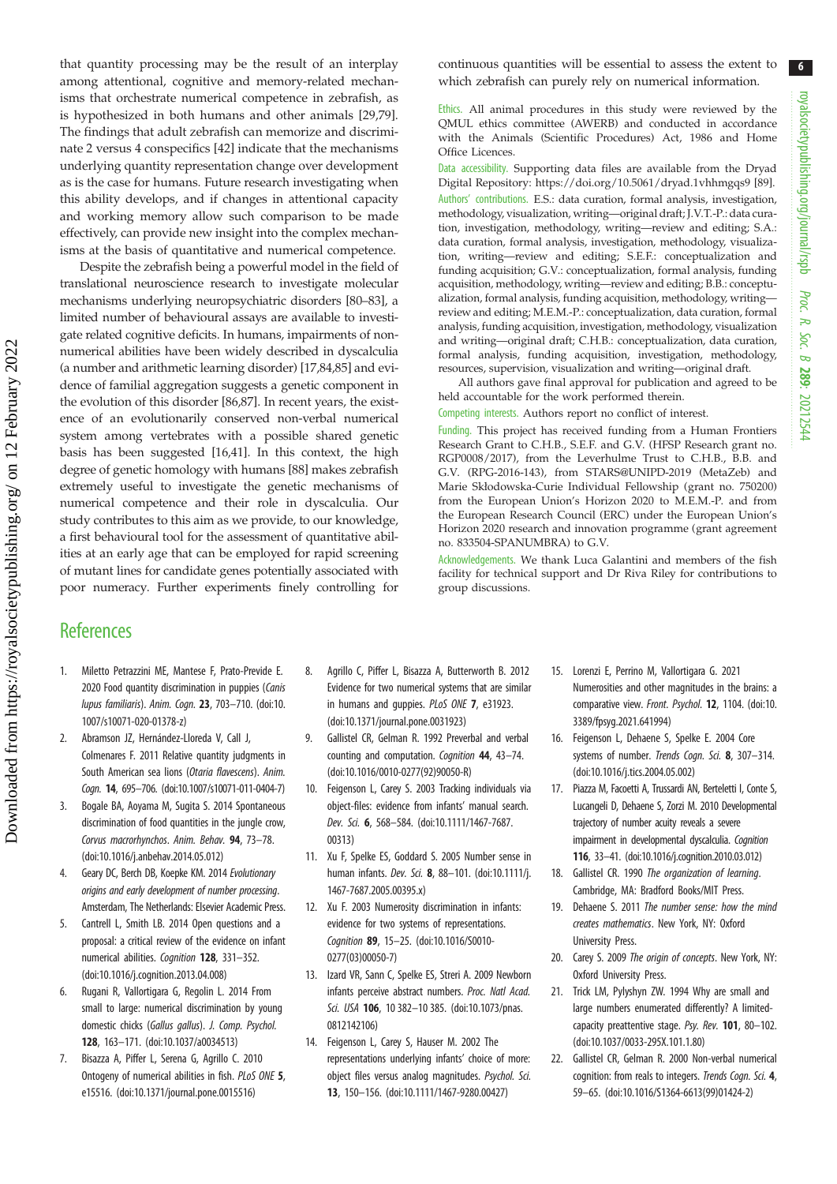<span id="page-6-0"></span>that quantity processing may be the result of an interplay among attentional, cognitive and memory-related mechanisms that orchestrate numerical competence in zebrafish, as is hypothesized in both humans and other animals [\[29](#page-7-0)[,79](#page-8-0)]. The findings that adult zebrafish can memorize and discriminate 2 versus 4 conspecifics [[42\]](#page-7-0) indicate that the mechanisms underlying quantity representation change over development as is the case for humans. Future research investigating when this ability develops, and if changes in attentional capacity and working memory allow such comparison to be made effectively, can provide new insight into the complex mechanisms at the basis of quantitative and numerical competence.

Despite the zebrafish being a powerful model in the field of translational neuroscience research to investigate molecular mechanisms underlying neuropsychiatric disorders [[80](#page-8-0)–[83\]](#page-8-0), a limited number of behavioural assays are available to investigate related cognitive deficits. In humans, impairments of nonnumerical abilities have been widely described in dyscalculia (a number and arithmetic learning disorder) [17[,84,85](#page-8-0)] and evidence of familial aggregation suggests a genetic component in the evolution of this disorder [\[86,87](#page-8-0)]. In recent years, the existence of an evolutionarily conserved non-verbal numerical system among vertebrates with a possible shared genetic basis has been suggested [16[,41](#page-7-0)]. In this context, the high degree of genetic homology with humans [[88\]](#page-8-0) makes zebrafish extremely useful to investigate the genetic mechanisms of numerical competence and their role in dyscalculia. Our study contributes to this aim as we provide, to our knowledge, a first behavioural tool for the assessment of quantitative abilities at an early age that can be employed for rapid screening of mutant lines for candidate genes potentially associated with poor numeracy. Further experiments finely controlling for continuous quantities will be essential to assess the extent to which zebrafish can purely rely on numerical information.

Ethics. All animal procedures in this study were reviewed by the QMUL ethics committee (AWERB) and conducted in accordance with the Animals (Scientific Procedures) Act, 1986 and Home Office Licences.

Data accessibility. Supporting data files are available from the Dryad Digital Repository:<https://doi.org/10.5061/dryad.1vhhmgqs9> [\[89](#page-8-0)]. Authors' contributions. E.S.: data curation, formal analysis, investigation, methodology, visualization, writing—original draft; J.V.T.-P.: data curation, investigation, methodology, writing—review and editing; S.A.: data curation, formal analysis, investigation, methodology, visualization, writing—review and editing; S.E.F.: conceptualization and funding acquisition; G.V.: conceptualization, formal analysis, funding acquisition, methodology, writing—review and editing; B.B.: conceptualization, formal analysis, funding acquisition, methodology, writing review and editing; M.E.M.-P.: conceptualization, data curation, formal analysis, funding acquisition, investigation, methodology, visualization and writing—original draft; C.H.B.: conceptualization, data curation, formal analysis, funding acquisition, investigation, methodology, resources, supervision, visualization and writing—original draft.

All authors gave final approval for publication and agreed to be held accountable for the work performed therein.

Competing interests. Authors report no conflict of interest.

Funding. This project has received funding from a Human Frontiers Research Grant to C.H.B., S.E.F. and G.V. (HFSP Research grant no. RGP0008/2017), from the Leverhulme Trust to C.H.B., B.B. and G.V. (RPG-2016-143), from STARS@UNIPD-2019 (MetaZeb) and Marie Skłodowska-Curie Individual Fellowship (grant no. 750200) from the European Union's Horizon 2020 to M.E.M.-P. and from the European Research Council (ERC) under the European Union's Horizon 2020 research and innovation programme (grant agreement no. 833504-SPANUMBRA) to G.V.

Acknowledgements. We thank Luca Galantini and members of the fish facility for technical support and Dr Riva Riley for contributions to group discussions.

## **References**

Downloaded from https://royalsocietypublishing.org/ on 12 February 2022

Downloaded from https://royalsocietypublishing.org/ on 12 February 2022

- 1. Miletto Petrazzini ME, Mantese F, Prato-Previde E. 2020 Food quantity discrimination in puppies (Canis lupus familiaris). Anim. Cogn. 23, 703–710. ([doi:10.](http://dx.doi.org/10.1007/s10071-020-01378-z) [1007/s10071-020-01378-z\)](http://dx.doi.org/10.1007/s10071-020-01378-z)
- 2. Abramson JZ, Hernández-Lloreda V, Call J, Colmenares F. 2011 Relative quantity judgments in South American sea lions (Otaria flavescens). Anim. Cogn. 14, 695–706. [\(doi:10.1007/s10071-011-0404-7\)](http://dx.doi.org/10.1007/s10071-011-0404-7)
- 3. Bogale BA, Aoyama M, Sugita S. 2014 Spontaneous discrimination of food quantities in the jungle crow, Corvus macrorhynchos. Anim. Behav. 94, 73–78. [\(doi:10.1016/j.anbehav.2014.05.012\)](https://doi.org/10.1016/j.anbehav.2014.05.012)
- 4. Geary DC, Berch DB, Koepke KM, 2014 Evolutionary origins and early development of number processing. Amsterdam, The Netherlands: Elsevier Academic Press.
- 5. Cantrell L, Smith LB. 2014 Open questions and a proposal: a critical review of the evidence on infant numerical abilities. Cognition 128, 331-352. [\(doi:10.1016/j.cognition.2013.04.008](http://dx.doi.org/10.1016/j.cognition.2013.04.008))
- 6. Rugani R, Vallortigara G, Regolin L. 2014 From small to large: numerical discrimination by young domestic chicks (Gallus gallus). J. Comp. Psychol. 128, 163–171. ([doi:10.1037/a0034513](http://dx.doi.org/10.1037/a0034513))
- 7. Bisazza A, Piffer L, Serena G, Agrillo C. 2010 Ontogeny of numerical abilities in fish. PLoS ONE 5, e15516. [\(doi:10.1371/journal.pone.0015516](http://dx.doi.org/10.1371/journal.pone.0015516))
- 8. Agrillo C, Piffer L, Bisazza A, Butterworth B. 2012 Evidence for two numerical systems that are similar in humans and guppies. PLoS ONE 7, e31923. [\(doi:10.1371/journal.pone.0031923\)](http://dx.doi.org/10.1371/journal.pone.0031923)
- 9. Gallistel CR, Gelman R. 1992 Preverbal and verbal counting and computation. Cognition 44, 43–74. [\(doi:10.1016/0010-0277\(92\)90050-R](http://dx.doi.org/10.1016/0010-0277(92)90050-R))
- 10. Feigenson L, Carey S. 2003 Tracking individuals via object-files: evidence from infants' manual search. Dev. Sci. 6, 568–584. [\(doi:10.1111/1467-7687.](http://dx.doi.org/10.1111/1467-7687.00313) [00313\)](http://dx.doi.org/10.1111/1467-7687.00313)
- 11. Xu F, Spelke ES, Goddard S. 2005 Number sense in human infants. Dev. Sci. 8, 88–101. [\(doi:10.1111/j.](http://dx.doi.org/10.1111/j.1467-7687.2005.00395.x) [1467-7687.2005.00395.x\)](http://dx.doi.org/10.1111/j.1467-7687.2005.00395.x)
- 12. Xu F. 2003 Numerosity discrimination in infants: evidence for two systems of representations. Cognition 89, 15–25. [\(doi:10.1016/S0010-](http://dx.doi.org/10.1016/S0010-0277(03)00050-7) [0277\(03\)00050-7](http://dx.doi.org/10.1016/S0010-0277(03)00050-7))
- 13. Izard VR, Sann C, Spelke ES, Streri A. 2009 Newborn infants perceive abstract numbers. Proc. Natl Acad. Sci. USA 106, 10 382-10 385. [\(doi:10.1073/pnas.](http://dx.doi.org/10.1073/pnas.0812142106) [0812142106\)](http://dx.doi.org/10.1073/pnas.0812142106)
- 14. Feigenson L, Carey S, Hauser M. 2002 The representations underlying infants' choice of more: object files versus analog magnitudes. Psychol. Sci. 13, 150–156. ([doi:10.1111/1467-9280.00427](http://dx.doi.org/10.1111/1467-9280.00427))
- 15. Lorenzi E, Perrino M, Vallortigara G. 2021 Numerosities and other magnitudes in the brains: a comparative view. Front. Psychol. 12, 1104. [\(doi:10.](http://dx.doi.org/10.3389/fpsyg.2021.641994) [3389/fpsyg.2021.641994](http://dx.doi.org/10.3389/fpsyg.2021.641994))
- 16. Feigenson L, Dehaene S, Spelke E. 2004 Core systems of number. Trends Cogn. Sci. 8, 307-314. ([doi:10.1016/j.tics.2004.05.002](http://dx.doi.org/10.1016/j.tics.2004.05.002))
- 17. Piazza M, Facoetti A, Trussardi AN, Berteletti I, Conte S, Lucangeli D, Dehaene S, Zorzi M. 2010 Developmental trajectory of number acuity reveals a severe impairment in developmental dyscalculia. Cognition 116, 33–41. ([doi:10.1016/j.cognition.2010.03.012\)](http://dx.doi.org/10.1016/j.cognition.2010.03.012)
- 18. Gallistel CR. 1990 The organization of learning. Cambridge, MA: Bradford Books/MIT Press.
- 19. Dehaene S. 2011 The number sense: how the mind creates mathematics. New York, NY: Oxford University Press.
- 20. Carey S. 2009 The origin of concepts. New York, NY: Oxford University Press.
- 21. Trick LM, Pylyshyn ZW. 1994 Why are small and large numbers enumerated differently? A limitedcapacity preattentive stage. Psy. Rev. 101, 80-102. ([doi:10.1037/0033-295X.101.1.80](http://dx.doi.org/10.1037/0033-295X.101.1.80))
- 22. Gallistel CR, Gelman R. 2000 Non-verbal numerical cognition: from reals to integers. Trends Cogn. Sci. 4, 59–65. ([doi:10.1016/S1364-6613\(99\)01424-2\)](http://dx.doi.org/10.1016/S1364-6613(99)01424-2)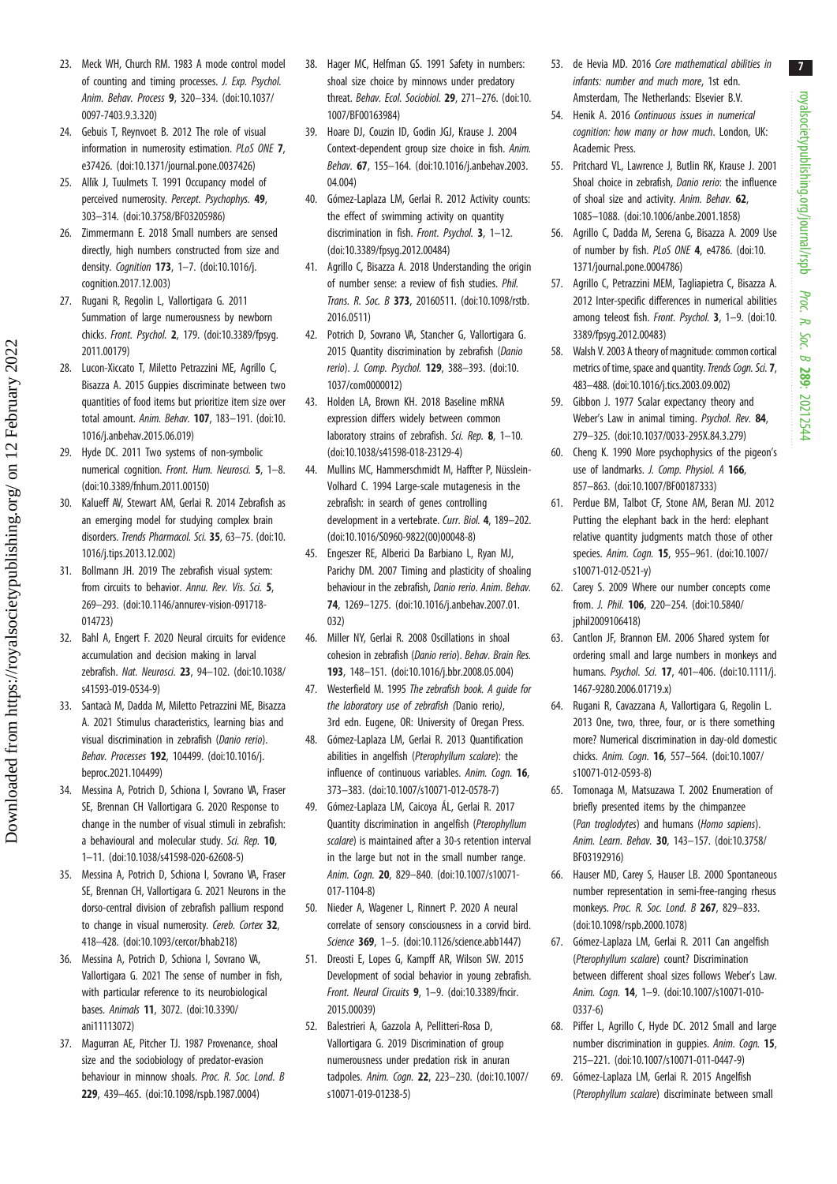royalsocietypublishing.org/journal/rspb royalsocietypublishing.org/journal/rspb Proc. R. Soc. $\sigma$ 289: 20212544

- <span id="page-7-0"></span>23. Meck WH, Church RM. 1983 A mode control model of counting and timing processes. J. Exp. Psychol. Anim. Behav. Process 9, 320–334. [\(doi:10.1037/](http://dx.doi.org/10.1037/0097-7403.9.3.320) [0097-7403.9.3.320](http://dx.doi.org/10.1037/0097-7403.9.3.320))
- 24. Gebuis T, Reynvoet B. 2012 The role of visual information in numerosity estimation. PLoS ONE 7, e37426. [\(doi:10.1371/journal.pone.0037426](http://dx.doi.org/10.1371/journal.pone.0037426))
- 25. Allïk J, Tuulmets T. 1991 Occupancy model of perceived numerosity. Percept. Psychophys. 49, 303–314. ([doi:10.3758/BF03205986](http://dx.doi.org/10.3758/BF03205986))
- 26. Zimmermann E. 2018 Small numbers are sensed directly, high numbers constructed from size and density. Cognition 173, 1–7. ([doi:10.1016/j.](http://dx.doi.org/10.1016/j.cognition.2017.12.003) [cognition.2017.12.003](http://dx.doi.org/10.1016/j.cognition.2017.12.003))
- 27. Rugani R, Regolin L, Vallortigara G. 2011 Summation of large numerousness by newborn chicks. Front. Psychol. 2, 179. [\(doi:10.3389/fpsyg.](http://dx.doi.org/10.3389/fpsyg.2011.00179) [2011.00179](http://dx.doi.org/10.3389/fpsyg.2011.00179))
- 28. Lucon-Xiccato T, Miletto Petrazzini ME, Agrillo C, Bisazza A. 2015 Guppies discriminate between two quantities of food items but prioritize item size over total amount. Anim. Behav. 107, 183–191. ([doi:10.](http://dx.doi.org/10.1016/j.anbehav.2015.06.019) [1016/j.anbehav.2015.06.019\)](http://dx.doi.org/10.1016/j.anbehav.2015.06.019)
- 29. Hyde DC. 2011 Two systems of non-symbolic numerical cognition. Front. Hum. Neurosci. 5, 1–8. [\(doi:10.3389/fnhum.2011.00150\)](http://dx.doi.org/10.3389/fnhum.2011.00150)
- 30. Kalueff AV, Stewart AM, Gerlai R. 2014 Zebrafish as an emerging model for studying complex brain disorders. Trends Pharmacol. Sci. 35, 63–75. ([doi:10.](http://dx.doi.org/10.1016/j.tips.2013.12.002) [1016/j.tips.2013.12.002\)](http://dx.doi.org/10.1016/j.tips.2013.12.002)
- 31. Bollmann JH. 2019 The zebrafish visual system: from circuits to behavior. Annu. Rev. Vis. Sci. 5, 269–293. ([doi:10.1146/annurev-vision-091718-](http://dx.doi.org/10.1146/annurev-vision-091718-014723) [014723](http://dx.doi.org/10.1146/annurev-vision-091718-014723))
- 32. Bahl A, Engert F. 2020 Neural circuits for evidence accumulation and decision making in larval zebrafish. Nat. Neurosci. 23, 94–102. ([doi:10.1038/](http://dx.doi.org/10.1038/s41593-019-0534-9) [s41593-019-0534-9\)](http://dx.doi.org/10.1038/s41593-019-0534-9)
- 33. Santacà M, Dadda M, Miletto Petrazzini ME, Bisazza A. 2021 Stimulus characteristics, learning bias and visual discrimination in zebrafish (Danio rerio). Behav. Processes 192, 104499. [\(doi:10.1016/j.](https://doi.org/10.1016/j.beproc.2021.104499) [beproc.2021.104499](https://doi.org/10.1016/j.beproc.2021.104499))
- 34. Messina A, Potrich D, Schiona I, Sovrano VA, Fraser SE, Brennan CH Vallortigara G. 2020 Response to change in the number of visual stimuli in zebrafish: a behavioural and molecular study. Sci. Rep. 10, 1–11. ([doi:10.1038/s41598-020-62608-5](http://dx.doi.org/10.1038/s41598-020-62608-5))
- 35. Messina A, Potrich D, Schiona I, Sovrano VA, Fraser SE, Brennan CH, Vallortigara G. 2021 Neurons in the dorso-central division of zebrafish pallium respond to change in visual numerosity. Cereb. Cortex 32. 418–428. ([doi:10.1093/cercor/bhab218\)](http://dx.doi.org/10.1093/cercor/bhab218)
- 36. Messina A, Potrich D, Schiona I, Sovrano VA, Vallortigara G. 2021 The sense of number in fish, with particular reference to its neurobiological bases. Animals 11, 3072. ([doi:10.3390/](http://dx.doi.org/10.3390/ani11113072) [ani11113072](http://dx.doi.org/10.3390/ani11113072))
- 37. Magurran AE, Pitcher TJ. 1987 Provenance, shoal size and the sociobiology of predator-evasion behaviour in minnow shoals. Proc. R. Soc. Lond. B 229, 439–465. ([doi:10.1098/rspb.1987.0004](http://dx.doi.org/10.1098/rspb.1987.0004))
- 38. Hager MC, Helfman GS. 1991 Safety in numbers: shoal size choice by minnows under predatory threat. Behav. Ecol. Sociobiol. 29, 271-276. [\(doi:10.](http://dx.doi.org/10.1007/BF00163984) [1007/BF00163984\)](http://dx.doi.org/10.1007/BF00163984)
- 39. Hoare DJ, Couzin ID, Godin JGJ, Krause J. 2004 Context-dependent group size choice in fish. Anim. Behav. 67, 155–164. ([doi:10.1016/j.anbehav.2003.](http://dx.doi.org/10.1016/j.anbehav.2003.04.004) [04.004](http://dx.doi.org/10.1016/j.anbehav.2003.04.004))
- 40. Gómez-Laplaza LM, Gerlai R. 2012 Activity counts: the effect of swimming activity on quantity discrimination in fish. Front. Psychol. 3, 1-12. [\(doi:10.3389/fpsyg.2012.00484\)](http://dx.doi.org/10.3389/fpsyg.2012.00484)
- 41. Agrillo C, Bisazza A. 2018 Understanding the origin of number sense: a review of fish studies. Phil. Trans. R. Soc. B 373, 20160511. [\(doi:10.1098/rstb.](http://dx.doi.org/10.1098/rstb.2016.0511) [2016.0511\)](http://dx.doi.org/10.1098/rstb.2016.0511)
- 42. Potrich D, Sovrano VA, Stancher G, Vallortigara G. 2015 Quantity discrimination by zebrafish (Danio rerio). J. Comp. Psychol. 129, 388–393. [\(doi:10.](http://dx.doi.org/10.1037/com0000012) [1037/com0000012\)](http://dx.doi.org/10.1037/com0000012)
- 43. Holden LA, Brown KH. 2018 Baseline mRNA expression differs widely between common laboratory strains of zebrafish. Sci. Rep. 8, 1-10. [\(doi:10.1038/s41598-018-23129-4\)](http://dx.doi.org/10.1038/s41598-018-23129-4)
- 44. Mullins MC, Hammerschmidt M, Haffter P, Nüsslein-Volhard C. 1994 Large-scale mutagenesis in the zebrafish: in search of genes controlling development in a vertebrate. Curr. Biol. 4, 189–202. [\(doi:10.1016/S0960-9822\(00\)00048-8](http://dx.doi.org/10.1016/S0960-9822(00)00048-8))
- 45. Engeszer RE, Alberici Da Barbiano L, Ryan MJ, Parichy DM. 2007 Timing and plasticity of shoaling behaviour in the zebrafish, Danio rerio. Anim. Behav. 74, 1269–1275. ([doi:10.1016/j.anbehav.2007.01.](http://dx.doi.org/10.1016/j.anbehav.2007.01.032) [032](http://dx.doi.org/10.1016/j.anbehav.2007.01.032))
- 46. Miller NY, Gerlai R. 2008 Oscillations in shoal cohesion in zebrafish (Danio rerio). Behav. Brain Res. 193, 148–151. ([doi:10.1016/j.bbr.2008.05.004](http://dx.doi.org/10.1016/j.bbr.2008.05.004))
- 47. Westerfield M. 1995 The zebrafish book. A quide for the laboratory use of zebrafish (Danio rerio), 3rd edn. Eugene, OR: University of Oregan Press.
- 48. Gómez-Laplaza LM, Gerlai R. 2013 Quantification abilities in angelfish (Pterophyllum scalare): the influence of continuous variables. Anim. Cogn. 16, 373–383. ([doi:10.1007/s10071-012-0578-7\)](http://dx.doi.org/10.1007/s10071-012-0578-7)
- 49. Gómez-Laplaza LM, Caicoya ÁL, Gerlai R. 2017 Quantity discrimination in angelfish (Pterophyllum scalare) is maintained after a 30-s retention interval in the large but not in the small number range. Anim. Cogn. 20, 829–840. [\(doi:10.1007/s10071-](http://dx.doi.org/10.1007/s10071-017-1104-8) [017-1104-8\)](http://dx.doi.org/10.1007/s10071-017-1104-8)
- 50. Nieder A, Wagener L, Rinnert P. 2020 A neural correlate of sensory consciousness in a corvid bird. Science 369, 1–5. [\(doi:10.1126/science.abb1447](http://dx.doi.org/10.1126/science.abb1447))
- 51. Dreosti E, Lopes G, Kampff AR, Wilson SW. 2015 Development of social behavior in young zebrafish. Front. Neural Circuits 9, 1–9. ([doi:10.3389/fncir.](http://dx.doi.org/10.3389/fncir.2015.00039) [2015.00039\)](http://dx.doi.org/10.3389/fncir.2015.00039)
- 52. Balestrieri A, Gazzola A, Pellitteri-Rosa D, Vallortigara G. 2019 Discrimination of group numerousness under predation risk in anuran tadpoles. Anim. Cogn. 22, 223–230. [\(doi:10.1007/](http://dx.doi.org/10.1007/s10071-019-01238-5) [s10071-019-01238-5\)](http://dx.doi.org/10.1007/s10071-019-01238-5)
- 53. de Hevia MD. 2016 Core mathematical abilities in infants: number and much more, 1st edn. Amsterdam, The Netherlands: Elsevier B.V.
- 54. Henik A. 2016 Continuous issues in numerical cognition: how many or how much. London, UK: Academic Press.
- 55. Pritchard VL, Lawrence J, Butlin RK, Krause J. 2001 Shoal choice in zebrafish, Danio rerio: the influence of shoal size and activity. Anim. Behav. 62, 1085–1088. [\(doi:10.1006/anbe.2001.1858\)](https://doi.org/10.1006/anbe.2001.1858)
- 56. Agrillo C, Dadda M, Serena G, Bisazza A. 2009 Use of number by fish. PLoS ONE 4, e4786. [\(doi:10.](http://dx.doi.org/10.1371/journal.pone.0004786) [1371/journal.pone.0004786](http://dx.doi.org/10.1371/journal.pone.0004786))
- 57. Agrillo C, Petrazzini MEM, Tagliapietra C, Bisazza A. 2012 Inter-specific differences in numerical abilities among teleost fish. Front. Psychol. 3, 1–9. [\(doi:10.](http://dx.doi.org/10.3389/fpsyg.2012.00483) [3389/fpsyg.2012.00483\)](http://dx.doi.org/10.3389/fpsyg.2012.00483)
- 58. Walsh V. 2003 A theory of magnitude: common cortical metrics of time, space and quantity. Trends Cogn. Sci. 7, 483–488. ([doi:10.1016/j.tics.2003.09.002](http://dx.doi.org/10.1016/j.tics.2003.09.002))
- 59. Gibbon J. 1977 Scalar expectancy theory and Weber's Law in animal timing. Psychol. Rev. 84, 279–325. [\(doi:10.1037/0033-295X.84.3.279\)](https://doi.org/10.1037/0033-295X.84.3.279)
- 60. Cheng K. 1990 More psychophysics of the pigeon's use of landmarks. J. Comp. Physiol. A 166, 857–863. [\(doi:10.1007/BF00187333\)](http://dx.doi.org/10.1007/BF00187333)
- 61. Perdue BM, Talbot CF, Stone AM, Beran MJ. 2012 Putting the elephant back in the herd: elephant relative quantity judgments match those of other species. Anim. Cogn. 15, 955–961. ([doi:10.1007/](http://dx.doi.org/10.1007/s10071-012-0521-y) [s10071-012-0521-y](http://dx.doi.org/10.1007/s10071-012-0521-y))
- 62. Carey S. 2009 Where our number concepts come from. J. Phil. 106, 220–254. ([doi:10.5840/](http://dx.doi.org/10.5840/jphil2009106418) inhil2009106418)
- 63. Cantlon JF, Brannon EM. 2006 Shared system for ordering small and large numbers in monkeys and humans. Psychol. Sci. 17, 401–406. [\(doi:10.1111/j.](http://dx.doi.org/10.1111/j.1467-9280.2006.01719.x) [1467-9280.2006.01719.x\)](http://dx.doi.org/10.1111/j.1467-9280.2006.01719.x)
- 64. Rugani R, Cavazzana A, Vallortigara G, Regolin L. 2013 One, two, three, four, or is there something more? Numerical discrimination in day-old domestic chicks. Anim. Cogn. 16, 557–564. ([doi:10.1007/](http://dx.doi.org/10.1007/s10071-012-0593-8) [s10071-012-0593-8](http://dx.doi.org/10.1007/s10071-012-0593-8))
- 65. Tomonaga M, Matsuzawa T. 2002 Enumeration of briefly presented items by the chimpanzee (Pan troglodytes) and humans (Homo sapiens). Anim. Learn. Behav. 30, 143–157. ([doi:10.3758/](http://dx.doi.org/10.3758/BF03192916) [BF03192916](http://dx.doi.org/10.3758/BF03192916))
- 66. Hauser MD, Carey S, Hauser LB. 2000 Spontaneous number representation in semi-free-ranging rhesus monkeys. Proc. R. Soc. Lond. B 267, 829–833. ([doi:10.1098/rspb.2000.1078\)](http://dx.doi.org/10.1098/rspb.2000.1078)
- 67. Gómez-Laplaza LM, Gerlai R. 2011 Can angelfish (Pterophyllum scalare) count? Discrimination between different shoal sizes follows Weber's Law. Anim. Cogn. 14, 1–9. ([doi:10.1007/s10071-010-](https://doi.org/10.1007/s10071-010-0337-6) [0337-6](https://doi.org/10.1007/s10071-010-0337-6))
- 68. Piffer L, Agrillo C, Hyde DC. 2012 Small and large number discrimination in guppies. Anim. Cogn. 15, 215–221. [\(doi:10.1007/s10071-011-0447-9\)](http://dx.doi.org/10.1007/s10071-011-0447-9)
- 69. Gómez-Laplaza LM, Gerlai R. 2015 Angelfish (Pterophyllum scalare) discriminate between small